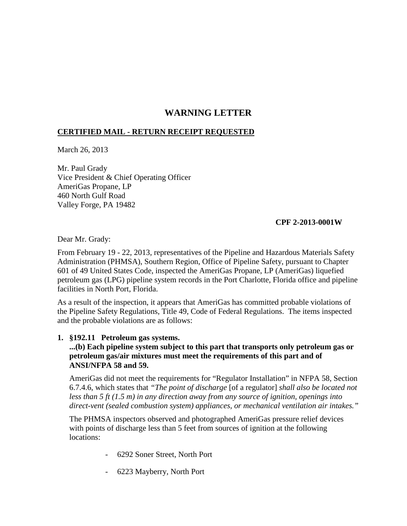# **WARNING LETTER**

# **CERTIFIED MAIL - RETURN RECEIPT REQUESTED**

March 26, 2013

Mr. Paul Grady Vice President & Chief Operating Officer AmeriGas Propane, LP 460 North Gulf Road Valley Forge, PA 19482

# **CPF 2-2013-0001W**

Dear Mr. Grady:

From February 19 - 22, 2013, representatives of the Pipeline and Hazardous Materials Safety Administration (PHMSA), Southern Region, Office of Pipeline Safety, pursuant to Chapter 601 of 49 United States Code, inspected the AmeriGas Propane, LP (AmeriGas) liquefied petroleum gas (LPG) pipeline system records in the Port Charlotte, Florida office and pipeline facilities in North Port, Florida.

As a result of the inspection, it appears that AmeriGas has committed probable violations of the Pipeline Safety Regulations, Title 49, Code of Federal Regulations. The items inspected and the probable violations are as follows:

# **1. §192.11 Petroleum gas systems.**

**...(b) Each pipeline system subject to this part that transports only petroleum gas or petroleum gas/air mixtures must meet the requirements of this part and of ANSI/NFPA 58 and 59.** 

AmeriGas did not meet the requirements for "Regulator Installation" in NFPA 58, Section 6.7.4.6, which states that *"The point of discharge* [of a regulator] *shall also be located not less than 5 ft (1.5 m) in any direction away from any source of ignition, openings into direct-vent (sealed combustion system) appliances, or mechanical ventilation air intakes."* 

The PHMSA inspectors observed and photographed AmeriGas pressure relief devices with points of discharge less than 5 feet from sources of ignition at the following locations:

- 6292 Soner Street, North Port
- 6223 Mayberry, North Port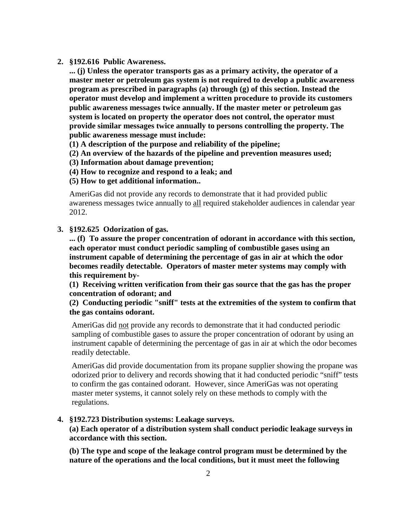#### **2. §192.616 Public Awareness.**

**... (j) Unless the operator transports gas as a primary activity, the operator of a master meter or petroleum gas system is not required to develop a public awareness program as prescribed in paragraphs (a) through (g) of this section. Instead the operator must develop and implement a written procedure to provide its customers public awareness messages twice annually. If the master meter or petroleum gas system is located on property the operator does not control, the operator must provide similar messages twice annually to persons controlling the property. The public awareness message must include:**

**(1) A description of the purpose and reliability of the pipeline;**

**(2) An overview of the hazards of the pipeline and prevention measures used;**

**(3) Information about damage prevention;** 

**(4) How to recognize and respond to a leak; and** 

#### **(5) How to get additional information..**

AmeriGas did not provide any records to demonstrate that it had provided public awareness messages twice annually to all required stakeholder audiences in calendar year 2012.

### **3. §192.625 Odorization of gas.**

**... (f) To assure the proper concentration of odorant in accordance with this section, each operator must conduct periodic sampling of combustible gases using an instrument capable of determining the percentage of gas in air at which the odor becomes readily detectable. Operators of master meter systems may comply with this requirement by-** 

**(1) Receiving written verification from their gas source that the gas has the proper concentration of odorant; and** 

**(2) Conducting periodic "sniff" tests at the extremities of the system to confirm that the gas contains odorant.**

AmeriGas did not provide any records to demonstrate that it had conducted periodic sampling of combustible gases to assure the proper concentration of odorant by using an instrument capable of determining the percentage of gas in air at which the odor becomes readily detectable.

AmeriGas did provide documentation from its propane supplier showing the propane was odorized prior to delivery and records showing that it had conducted periodic "sniff" tests to confirm the gas contained odorant. However, since AmeriGas was not operating master meter systems, it cannot solely rely on these methods to comply with the regulations.

## **4. §192.723 Distribution systems: Leakage surveys.**

**(a) Each operator of a distribution system shall conduct periodic leakage surveys in accordance with this section.**

**(b) The type and scope of the leakage control program must be determined by the nature of the operations and the local conditions, but it must meet the following**